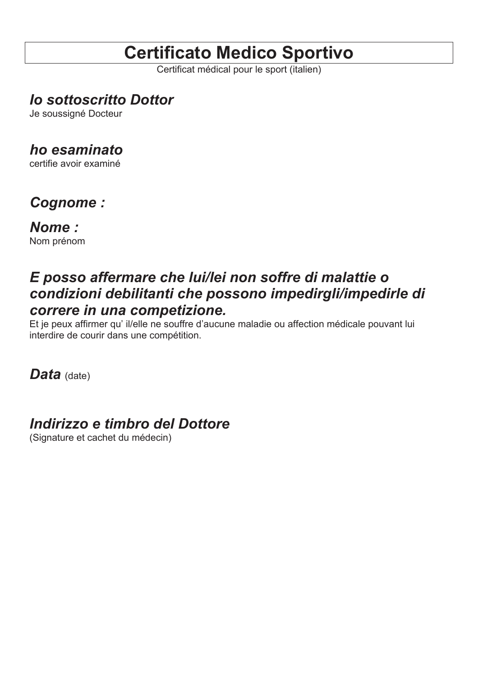# **Certificato Medico Sportivo**

Certificat médical pour le sport (italien)

## *Io sottoscritto Dottor*

Je soussigné Docteur

### *ho esaminato*

certifie avoir examiné

## *Cognome :*

*Nome :* 

Nom prénom

## *E posso affermare che lui/lei non soffre di malattie o condizioni debilitanti che possono impedirgli/impedirle di correre in una competizione.*

Et je peux affirmer qu' il/elle ne souffre d'aucune maladie ou affection médicale pouvant lui interdire de courir dans une compétition.

Data (date)

### *Indirizzo e timbro del Dottore*

(Signature et cachet du médecin)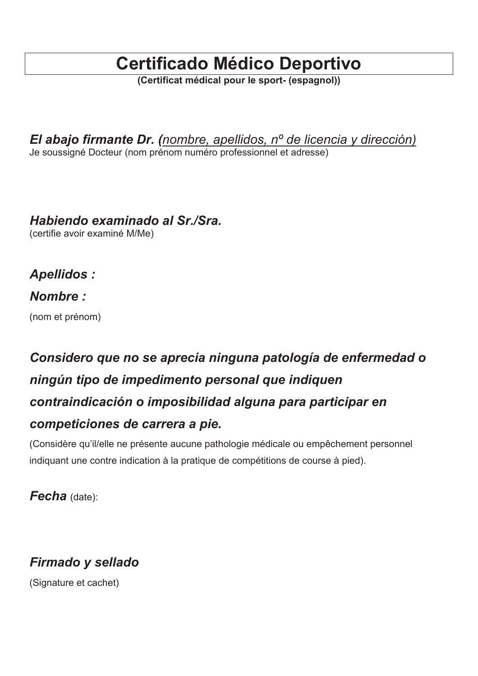# **Certificado Médico Deportivo**

*(Certificat médical pour le sport- (espagnol))* 

*El abajo firmante Dr. (nombre, apellidos, nº de licencia y dirección)*  Je soussigné Docteur (nom prénom numéro professionnel et adresse)

### *Habiendo examinado al Sr./Sra.*

(certifie avoir examiné M/Me)

*Apellidos :* 

#### *Nombre :*

(nom et prénom)

# *Considero que no se aprecia ninguna patología de enfermedad o ningún tipo de impedimento personal que indiquen contraindicación o imposibilidad alguna para participar en competiciones de carrera a pie.*

(Considère qu'il/elle ne présente aucune pathologie médicale ou empêchement personnel indiquant une contre indication à la pratique de compétitions de course à pied).

*Fecha* (date):

## *Firmado y sellado*

(Signature et cachet)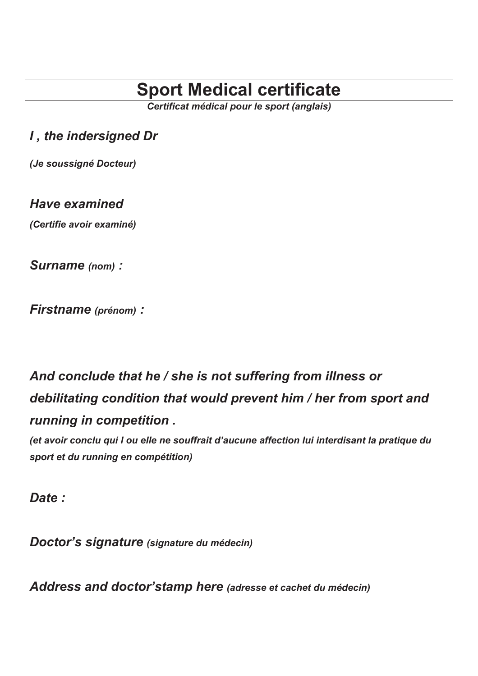# **Sport Medical certificate**

*Certificat médical pour le sport (anglais)* 

### *I , the indersigned Dr*

*(Je soussigné Docteur)* 

#### *Have examined*

*(Certifie avoir examiné)*

*Surname (nom) :* 

*Firstname (prénom) :*

# *And conclude that he / she is not suffering from illness or debilitating condition that would prevent him / her from sport and running in competition .*

*(et avoir conclu qui l ou elle ne souffrait d'aucune affection lui interdisant la pratique du sport et du running en compétition)* 

*Date :* 

*Doctor's signature (signature du médecin)*

*Address and doctor'stamp here (adresse et cachet du médecin)*